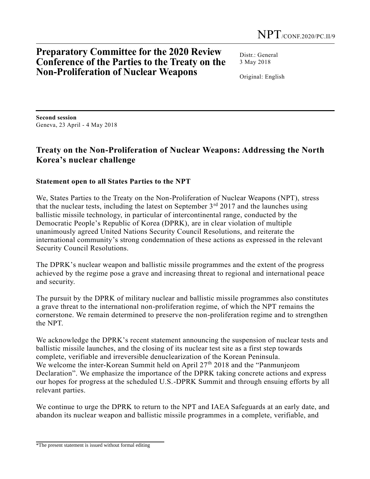## **Preparatory Committee for the 2020 Review Conference of the Parties to the Treaty on the Non-Proliferation of Nuclear Weapons**

Distr · General 3 May 2018

Original: English

**Second session**  Geneva, 23 April - 4 May 2018

## **Treaty on the Non-Proliferation of Nuclear Weapons: Addressing the North Korea's nuclear challenge**

## **Statement open to all States Parties to the NPT**

We, States Parties to the Treaty on the Non-Proliferation of Nuclear Weapons (NPT), stress that the nuclear tests, including the latest on September  $3<sup>rd</sup>$  2017 and the launches using ballistic missile technology, in particular of intercontinental range, conducted by the Democratic People's Republic of Korea (DPRK), are in clear violation of multiple unanimously agreed United Nations Security Council Resolutions, and reiterate the international community's strong condemnation of these actions as expressed in the relevant Security Council Resolutions.

The DPRK's nuclear weapon and ballistic missile programmes and the extent of the progress achieved by the regime pose a grave and increasing threat to regional and international peace and security.

The pursuit by the DPRK of military nuclear and ballistic missile programmes also constitutes a grave threat to the international non-proliferation regime, of which the NPT remains the cornerstone. We remain determined to preserve the non-proliferation regime and to strengthen the NPT.

We acknowledge the DPRK's recent statement announcing the suspension of nuclear tests and ballistic missile launches, and the closing of its nuclear test site as a first step towards complete, verifiable and irreversible denuclearization of the Korean Peninsula. We welcome the inter-Korean Summit held on April  $27<sup>th</sup> 2018$  and the "Panmunjeom Declaration". We emphasize the importance of the DPRK taking concrete actions and express our hopes for progress at the scheduled U.S.-DPRK Summit and through ensuing efforts by all relevant parties.

We continue to urge the DPRK to return to the NPT and IAEA Safeguards at an early date, and abandon its nuclear weapon and ballistic missile programmes in a complete, verifiable, and

<sup>\*</sup>The present statement is issued without formal editing